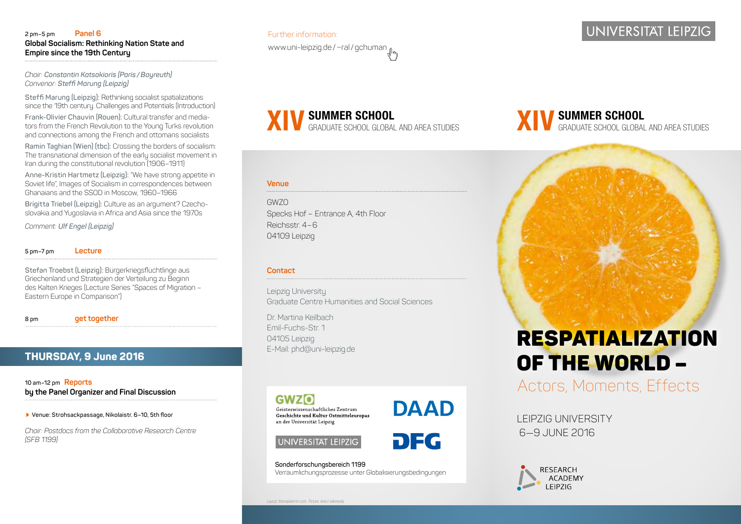#### **2 pm–5 pm Panel 6 Global Socialism: Rethinking Nation State and Empire since the 19th Century**

*Chair: Constantin Katsakioris (Paris /Bayreuth) Convenor: Steffi Marung (Leipzig)*

**Steffi Marung (Leipzig):** Rethinking socialist spatializations since the 19th century. Challenges and Potentials (Introduction)

**Frank-Olivier Chauvin (Rouen):** Cultural transfer and mediators from the French Revolution to the Young Turks revolution and connections among the French and ottomans socialists

**Ramin Taghian (Wien) (tbc):** Crossing the borders of socialism: The transnational dimension of the early socialist movement in Iran during the constitutional revolution (1906–1911)

**Anne-Kristin Hartmetz (Leipzig):** "We have strong appetite in Soviet life", Images of Socialism in correspondences between Ghanaians and the SSOD in Moscow, 1960–1966

**Brigitta Triebel (Leipzig):** Culture as an argument? Czechoslovakia and Yugoslavia in Africa and Asia since the 1970s

*Comment: Ulf Engel (Leipzig)*

#### **5 pm–7 pm Lecture**

**Stefan Troebst (Leipzig):** Bürgerkriegsflüchtlinge aus Griechenland und Strategien der Verteilung zu Beginn des Kalten Krieges (Lecture Series "Spaces of Migration – Eastern Europe in Comparison")

**8 pm get together**

# **THURSDAY, 9 June 2016**

**10 am–12 pm Reports by the Panel Organizer and Final Discussion**

 **Venue: Strohsackpassage, Nikolaistr. 6–10, 5th floor**

*Chair: Postdocs from the Collaborative Research Centre (SFB 1199)*

# Further information: www.uni-leipzig.de/~ral/gchuman

**SUMMER SCHOOL XIV** GRADUATE SCHOOL GLOBAL AND AREA STUDIES

#### **Venue**

GWZO Specks Hof – Entrance A, 4th Floor Reichsstr. 4–6 04109 Leipzig

#### **Contact**

Leipzig University Graduate Centre Humanities and Social Sciences

Dr. Martina Keilbach Emil-Fuchs-Str. 1 04105 Leipzig E-Mail: phd@uni-leipzig.de





UNIVERSITAT LEIPZIG

**DFG** 

**Sonderforschungsbereich 1199**  Verräumlichungsprozesse unter Globalisierungsbedingungen

# **UNIVERSITÄT LEIPZIG**

**SUMMER SCHOOL XIV** GRADUATE SCHOOL GLOBAL AND AREA STUDIES

# RESPATIALIZATION OF THE WORLD –

Actors, Moments, Effects

LEIPZIG UNIVERSITY 6—9 JUNE 2016